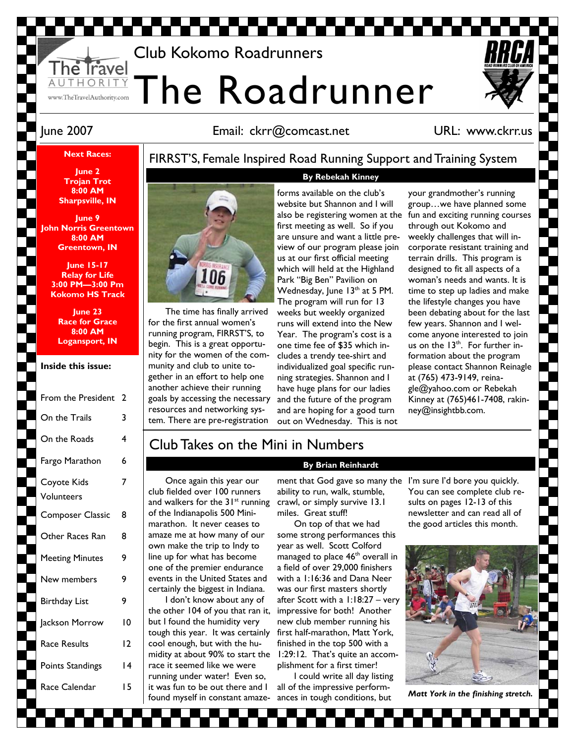# Club Kokomo Roadrunners

The Roadrunner

# June 2007 Email: ckrr@comcast.net

### URL: www.ckrr.us

### **Next Races:**

HORI www.TheTravelAuthority.com

FIRRST'S, Female Inspired Road Running Support and Training System

**By Rebekah Kinney** 

**June 2 Trojan Trot 8:00 AM Sharpsville, IN** 

**June 9 John Norris Greentown 8:00 AM Greentown, IN** 

> **June 15-17 Relay for Life 3:00 PM—3:00 Pm Kokomo HS Track**

**June 23 Race for Grace 8:00 AM Logansport, IN** 

### **Inside this issue:**

| From the President        | 2   |
|---------------------------|-----|
| On the Trails             | 3   |
| On the Roads              | 4   |
| Fargo Marathon            | 6   |
| Coyote Kids<br>Volunteers | 7   |
| <b>Composer Classic</b>   | 8   |
| Other Races Ran           | 8   |
| <b>Meeting Minutes</b>    | 9   |
| New members               | 9   |
| <b>Birthday List</b>      | 9   |
| Jackson Morrow            | ١0  |
| Race Results              | 12  |
| Points Standings          | ا 4 |
| Race Calendar             | ۱5  |
|                           |     |

33333



The time has finally arrived for the first annual women's running program, FIRRST'S, to begin. This is a great opportunity for the women of the community and club to unite together in an effort to help one another achieve their running goals by accessing the necessary resources and networking system. There are pre-registration

forms available on the club's website but Shannon and I will first meeting as well. So if you are unsure and want a little preview of our program please join us at our first official meeting which will held at the Highland Park "Big Ben" Pavilion on Wednesday, June  $13<sup>th</sup>$  at 5 PM. The program will run for 13 weeks but weekly organized runs will extend into the New Year. The program's cost is a one time fee of \$35 which includes a trendy tee-shirt and individualized goal specific running strategies. Shannon and I have huge plans for our ladies and the future of the program and are hoping for a good turn out on Wednesday. This is not

your grandmother's running group…we have planned some also be registering women at the fun and exciting running courses through out Kokomo and weekly challenges that will incorporate resistant training and terrain drills. This program is designed to fit all aspects of a woman's needs and wants. It is time to step up ladies and make the lifestyle changes you have been debating about for the last few years. Shannon and I welcome anyone interested to join us on the  $13<sup>th</sup>$ . For further information about the program please contact Shannon Reinagle at (765) 473-9149, reinagle@yahoo.com or Rebekah Kinney at (765)461-7408, rakinney@insightbb.com.

### Club Takes on the Mini in Numbers

Once again this year our club fielded over 100 runners and walkers for the  $31<sup>st</sup>$  running of the Indianapolis 500 Minimarathon. It never ceases to amaze me at how many of our own make the trip to Indy to line up for what has become one of the premier endurance events in the United States and certainly the biggest in Indiana.

I don't know about any of the other 104 of you that ran it, but I found the humidity very tough this year. It was certainly cool enough, but with the humidity at about 90% to start the race it seemed like we were running under water! Even so, it was fun to be out there and I found myself in constant amaze-

### **By Brian Reinhardt**

ment that God gave so many the I'm sure I'd bore you quickly. ability to run, walk, stumble, crawl, or simply survive 13.1 miles. Great stuff!

On top of that we had some strong performances this year as well. Scott Colford managed to place 46<sup>th</sup> overall in a field of over 29,000 finishers with a 1:16:36 and Dana Neer was our first masters shortly after Scott with a 1:18:27 – very impressive for both! Another new club member running his first half-marathon, Matt York, finished in the top 500 with a 1:29:12. That's quite an accomplishment for a first timer!

I could write all day listing all of the impressive performances in tough conditions, but

You can see complete club results on pages 12-13 of this newsletter and can read all of the good articles this month.



*Matt York in the finishing stretch.* 

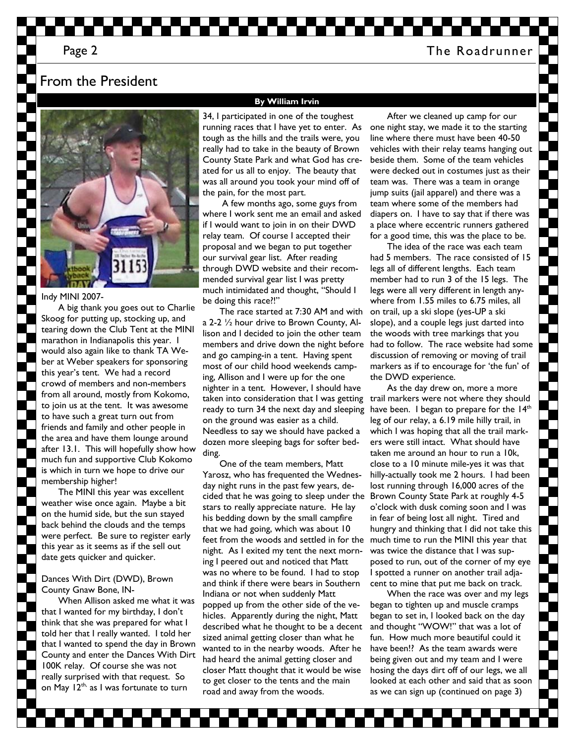### Page 2 The Roadrunner

### From the President



Indy MINI 2007-

A big thank you goes out to Charlie Skoog for putting up, stocking up, and tearing down the Club Tent at the MINI marathon in Indianapolis this year. I would also again like to thank TA Weber at Weber speakers for sponsoring this year's tent. We had a record crowd of members and non-members from all around, mostly from Kokomo, to join us at the tent. It was awesome to have such a great turn out from friends and family and other people in the area and have them lounge around after 13.1. This will hopefully show how much fun and supportive Club Kokomo is which in turn we hope to drive our membership higher!

The MINI this year was excellent weather wise once again. Maybe a bit on the humid side, but the sun stayed back behind the clouds and the temps were perfect. Be sure to register early this year as it seems as if the sell out date gets quicker and quicker.

### Dances With Dirt (DWD), Brown County Gnaw Bone, IN-

When Allison asked me what it was that I wanted for my birthday, I don't think that she was prepared for what I told her that I really wanted. I told her that I wanted to spend the day in Brown County and enter the Dances With Dirt 100K relay. Of course she was not really surprised with that request. So on May 12<sup>th,</sup> as I was fortunate to turn

#### **By William Irvin**

34, I participated in one of the toughest running races that I have yet to enter. As tough as the hills and the trails were, you really had to take in the beauty of Brown County State Park and what God has created for us all to enjoy. The beauty that was all around you took your mind off of the pain, for the most part.

 A few months ago, some guys from where I work sent me an email and asked if I would want to join in on their DWD relay team. Of course I accepted their proposal and we began to put together our survival gear list. After reading through DWD website and their recommended survival gear list I was pretty much intimidated and thought, "Should I be doing this race?!"

ready to turn 34 the next day and sleeping have been. I began to prepare for the  $14<sup>th</sup>$ The race started at 7:30 AM and with a 2-2 ½ hour drive to Brown County, Allison and I decided to join the other team members and drive down the night before and go camping-in a tent. Having spent most of our child hood weekends camping, Allison and I were up for the one nighter in a tent. However, I should have taken into consideration that I was getting on the ground was easier as a child. Needless to say we should have packed a dozen more sleeping bags for softer bedding.

feet from the woods and settled in for the much time to run the MINI this year that One of the team members, Matt Yarosz, who has frequented the Wednesday night runs in the past few years, decided that he was going to sleep under the stars to really appreciate nature. He lay his bedding down by the small campfire that we had going, which was about 10 night. As I exited my tent the next morning I peered out and noticed that Matt was no where to be found. I had to stop and think if there were bears in Southern Indiana or not when suddenly Matt popped up from the other side of the vehicles. Apparently during the night, Matt described what he thought to be a decent sized animal getting closer than what he wanted to in the nearby woods. After he had heard the animal getting closer and closer Matt thought that it would be wise to get closer to the tents and the main road and away from the woods.

After we cleaned up camp for our one night stay, we made it to the starting line where there must have been 40-50 vehicles with their relay teams hanging out beside them. Some of the team vehicles were decked out in costumes just as their team was. There was a team in orange jump suits (jail apparel) and there was a team where some of the members had diapers on. I have to say that if there was a place where eccentric runners gathered for a good time, this was the place to be.

The idea of the race was each team had 5 members. The race consisted of 15 legs all of different lengths. Each team member had to run 3 of the 15 legs. The legs were all very different in length anywhere from 1.55 miles to 6.75 miles, all on trail, up a ski slope (yes-UP a ski slope), and a couple legs just darted into the woods with tree markings that you had to follow. The race website had some discussion of removing or moving of trail markers as if to encourage for 'the fun' of the DWD experience.

As the day drew on, more a more trail markers were not where they should leg of our relay, a 6.19 mile hilly trail, in which I was hoping that all the trail markers were still intact. What should have taken me around an hour to run a 10k, close to a 10 minute mile-yes it was that hilly-actually took me 2 hours. I had been lost running through 16,000 acres of the Brown County State Park at roughly 4-5 o'clock with dusk coming soon and I was in fear of being lost all night. Tired and hungry and thinking that I did not take this was twice the distance that I was supposed to run, out of the corner of my eye I spotted a runner on another trail adjacent to mine that put me back on track.

When the race was over and my legs began to tighten up and muscle cramps began to set in, I looked back on the day and thought "WOW!" that was a lot of fun. How much more beautiful could it have been!? As the team awards were being given out and my team and I were hosing the days dirt off of our legs, we all looked at each other and said that as soon as we can sign up (continued on page 3)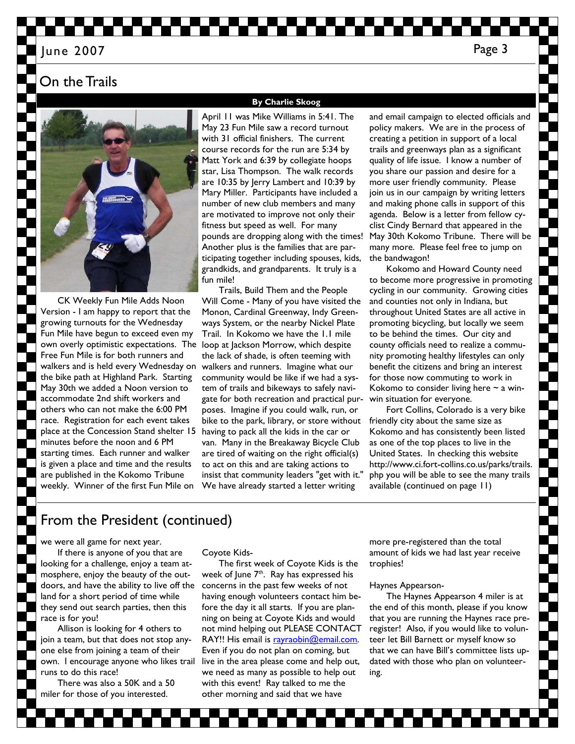### On the Trails



CK Weekly Fun Mile Adds Noon Version - I am happy to report that the growing turnouts for the Wednesday Fun Mile have begun to exceed even my own overly optimistic expectations. The loop at Jackson Morrow, which despite Free Fun Mile is for both runners and walkers and is held every Wednesday on the bike path at Highland Park. Starting May 30th we added a Noon version to accommodate 2nd shift workers and others who can not make the 6:00 PM race. Registration for each event takes place at the Concession Stand shelter 15 minutes before the noon and 6 PM starting times. Each runner and walker is given a place and time and the results are published in the Kokomo Tribune weekly. Winner of the first Fun Mile on

### **By Charlie Skoog**

April 11 was Mike Williams in 5:41. The May 23 Fun Mile saw a record turnout with 31 official finishers. The current course records for the run are 5:34 by Matt York and 6:39 by collegiate hoops star, Lisa Thompson. The walk records are 10:35 by Jerry Lambert and 10:39 by Mary Miller. Participants have included a number of new club members and many are motivated to improve not only their fitness but speed as well. For many pounds are dropping along with the times! Another plus is the families that are participating together including spouses, kids, grandkids, and grandparents. It truly is a fun mile!

Trails, Build Them and the People Will Come - Many of you have visited the Monon, Cardinal Greenway, Indy Greenways System, or the nearby Nickel Plate Trail. In Kokomo we have the 1.1 mile the lack of shade, is often teeming with walkers and runners. Imagine what our community would be like if we had a system of trails and bikeways to safely navigate for both recreation and practical purposes. Imagine if you could walk, run, or bike to the park, library, or store without having to pack all the kids in the car or van. Many in the Breakaway Bicycle Club are tired of waiting on the right official(s) to act on this and are taking actions to insist that community leaders "get with it." We have already started a letter writing

and email campaign to elected officials and policy makers. We are in the process of creating a petition in support of a local trails and greenways plan as a significant quality of life issue. I know a number of you share our passion and desire for a more user friendly community. Please join us in our campaign by writing letters and making phone calls in support of this agenda. Below is a letter from fellow cyclist Cindy Bernard that appeared in the May 30th Kokomo Tribune. There will be many more. Please feel free to jump on the bandwagon!

Kokomo and Howard County need to become more progressive in promoting cycling in our community. Growing cities and counties not only in Indiana, but throughout United States are all active in promoting bicycling, but locally we seem to be behind the times. Our city and county officials need to realize a community promoting healthy lifestyles can only benefit the citizens and bring an interest for those now commuting to work in Kokomo to consider living here  $\sim$  a winwin situation for everyone.

Fort Collins, Colorado is a very bike friendly city about the same size as Kokomo and has consistently been listed as one of the top places to live in the United States. In checking this website http://www.ci.fort-collins.co.us/parks/trails. php you will be able to see the many trails available (continued on page 11)

# From the President (continued)

we were all game for next year.

If there is anyone of you that are looking for a challenge, enjoy a team atmosphere, enjoy the beauty of the outdoors, and have the ability to live off the land for a short period of time while they send out search parties, then this race is for you!

Allison is looking for 4 others to join a team, but that does not stop anyone else from joining a team of their own. I encourage anyone who likes trail runs to do this race!

There was also a 50K and a 50 miler for those of you interested.

Coyote Kids-

The first week of Coyote Kids is the week of June  $7<sup>th</sup>$ . Ray has expressed his concerns in the past few weeks of not having enough volunteers contact him before the day it all starts. If you are planning on being at Coyote Kids and would not mind helping out PLEASE CONTACT RAY!! His email is rayraobin@email.com. Even if you do not plan on coming, but live in the area please come and help out, we need as many as possible to help out with this event! Ray talked to me the other morning and said that we have

more pre-registered than the total amount of kids we had last year receive trophies!

### Haynes Appearson-

The Haynes Appearson 4 miler is at the end of this month, please if you know that you are running the Haynes race preregister! Also, if you would like to volunteer let Bill Barnett or myself know so that we can have Bill's committee lists updated with those who plan on volunteering.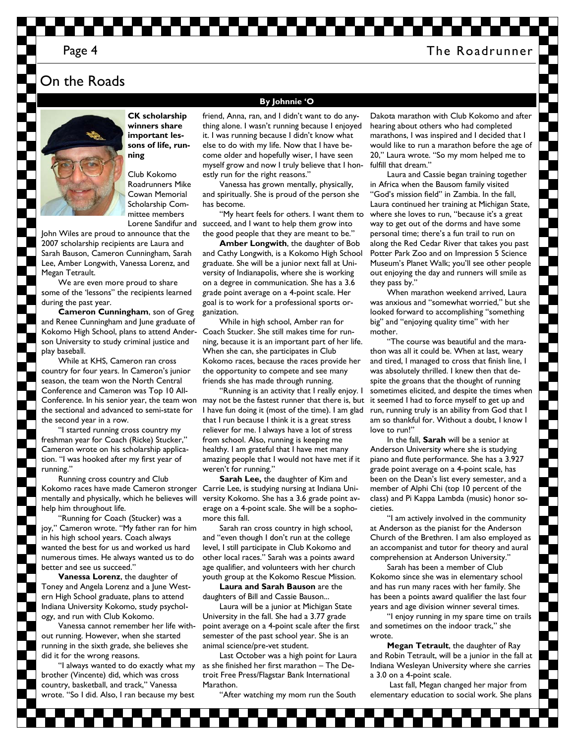### Page 4 The Roadrunner

## On the Roads



**CK scholarship winners share important lessons of life, running** 

Club Kokomo Roadrunners Mike Cowan Memorial Scholarship Committee members

John Wiles are proud to announce that the 2007 scholarship recipients are Laura and Sarah Bauson, Cameron Cunningham, Sarah Lee, Amber Longwith, Vanessa Lorenz, and Megan Tetrault.

We are even more proud to share some of the 'lessons" the recipients learned during the past year.

**Cameron Cunningham**, son of Greg and Renee Cunningham and June graduate of Kokomo High School, plans to attend Ander-Coach Stucker. She still makes time for runson University to study criminal justice and play baseball.

While at KHS, Cameron ran cross country for four years. In Cameron's junior season, the team won the North Central Conference and Cameron was Top 10 Allthe sectional and advanced to semi-state for the second year in a row.

"I started running cross country my freshman year for Coach (Ricke) Stucker," Cameron wrote on his scholarship application. "I was hooked after my first year of running."

Running cross country and Club mentally and physically, which he believes will help him throughout life.

"Running for Coach (Stucker) was a joy," Cameron wrote. "My father ran for him in his high school years. Coach always wanted the best for us and worked us hard numerous times. He always wanted us to do better and see us succeed."

**Vanessa Lorenz**, the daughter of Toney and Angela Lorenz and a June Western High School graduate, plans to attend Indiana University Kokomo, study psychology, and run with Club Kokomo.

Vanessa cannot remember her life without running. However, when she started running in the sixth grade, she believes she did it for the wrong reasons.

"I always wanted to do exactly what my brother (Vincente) did, which was cross country, basketball, and track," Vanessa wrote. "So I did. Also, I ran because my best

#### **By Johnnie 'O**

friend, Anna, ran, and I didn't want to do anything alone. I wasn't running because I enjoyed it. I was running because I didn't know what else to do with my life. Now that I have become older and hopefully wiser, I have seen myself grow and now I truly believe that I honestly run for the right reasons."

Vanessa has grown mentally, physically, and spiritually. She is proud of the person she has become.

Lorene Sandifur and succeed, and I want to help them grow into "My heart feels for others. I want them to the good people that they are meant to be."

> **Amber Longwith**, the daughter of Bob and Cathy Longwith, is a Kokomo High School graduate. She will be a junior next fall at University of Indianapolis, where she is working on a degree in communication. She has a 3.6 grade point average on a 4-point scale. Her goal is to work for a professional sports organization.

> While in high school, Amber ran for ning, because it is an important part of her life. When she can, she participates in Club Kokomo races, because the races provide her the opportunity to compete and see many friends she has made through running.

Conference. In his senior year, the team won may not be the fastest runner that there is, but "Running is an activity that I really enjoy. I I have fun doing it (most of the time). I am glad that I run because I think it is a great stress reliever for me. I always have a lot of stress from school. Also, running is keeping me healthy. I am grateful that I have met many amazing people that I would not have met if it weren't for running."

Kokomo races have made Cameron stronger Carrie Lee, is studying nursing at Indiana Uni-**Sarah Lee,** the daughter of Kim and versity Kokomo. She has a 3.6 grade point average on a 4-point scale. She will be a sophomore this fall.

> Sarah ran cross country in high school, and "even though I don't run at the college level, I still participate in Club Kokomo and other local races." Sarah was a points award age qualifier, and volunteers with her church youth group at the Kokomo Rescue Mission.

**Laura and Sarah Bauson** are the daughters of Bill and Cassie Bauson...

Laura will be a junior at Michigan State University in the fall. She had a 3.77 grade point average on a 4-point scale after the first semester of the past school year. She is an animal science/pre-vet student.

Last October was a high point for Laura as she finished her first marathon – The Detroit Free Press/Flagstar Bank International Marathon.

"After watching my mom run the South

Dakota marathon with Club Kokomo and after hearing about others who had completed marathons, I was inspired and I decided that I would like to run a marathon before the age of 20," Laura wrote. "So my mom helped me to fulfill that dream."

Laura and Cassie began training together in Africa when the Bausom family visited "God's mission field" in Zambia. In the fall, Laura continued her training at Michigan State, where she loves to run, "because it's a great way to get out of the dorms and have some personal time; there's a fun trail to run on along the Red Cedar River that takes you past Potter Park Zoo and on Impression 5 Science Museum's Planet Walk; you'll see other people out enjoying the day and runners will smile as they pass by."

When marathon weekend arrived, Laura was anxious and "somewhat worried," but she looked forward to accomplishing "something big" and "enjoying quality time" with her mother.

"The course was beautiful and the marathon was all it could be. When at last, weary and tired, I managed to cross that finish line, I was absolutely thrilled. I knew then that despite the groans that the thought of running sometimes elicited, and despite the times when it seemed I had to force myself to get up and run, running truly is an ability from God that I am so thankful for. Without a doubt, I know I love to run!"

In the fall, **Sarah** will be a senior at Anderson University where she is studying piano and flute performance. She has a 3.927 grade point average on a 4-point scale, has been on the Dean's list every semester, and a member of Alphi Chi (top 10 percent of the class) and Pi Kappa Lambda (music) honor societies.

"I am actively involved in the community at Anderson as the pianist for the Anderson Church of the Brethren. I am also employed as an accompanist and tutor for theory and aural comprehension at Anderson University."

Sarah has been a member of Club Kokomo since she was in elementary school and has run many races with her family. She has been a points award qualifier the last four years and age division winner several times.

"I enjoy running in my spare time on trails and sometimes on the indoor track," she wrote.

**Megan Tetrault**, the daughter of Ray and Robin Tetrault, will be a junior in the fall at Indiana Wesleyan University where she carries a 3.0 on a 4-point scale.

 Last fall, Megan changed her major from elementary education to social work. She plans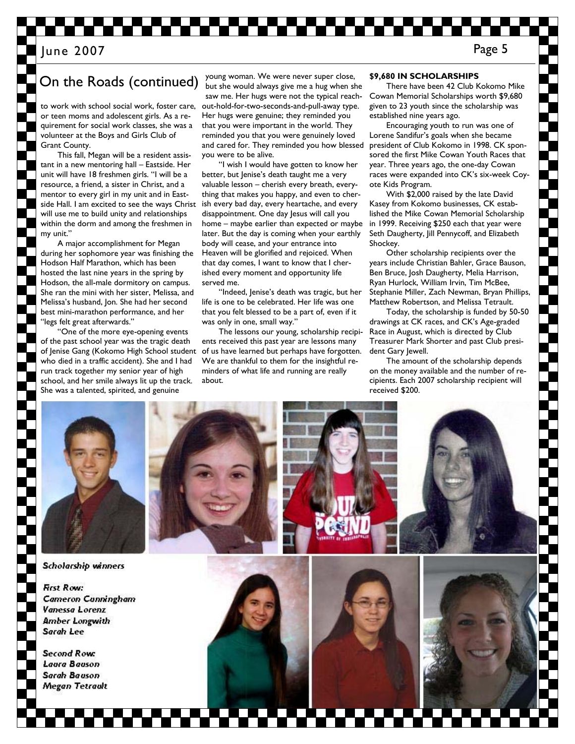# On the Roads (continued)

to work with school social work, foster care, or teen moms and adolescent girls. As a requirement for social work classes, she was a volunteer at the Boys and Girls Club of Grant County.

This fall, Megan will be a resident assistant in a new mentoring hall – Eastside. Her unit will have 18 freshmen girls. "I will be a resource, a friend, a sister in Christ, and a mentor to every girl in my unit and in Eastside Hall. I am excited to see the ways Christ will use me to build unity and relationships within the dorm and among the freshmen in my unit."

A major accomplishment for Megan during her sophomore year was finishing the Hodson Half Marathon, which has been hosted the last nine years in the spring by Hodson, the all-male dormitory on campus. She ran the mini with her sister, Melissa, and Melissa's husband, Jon. She had her second best mini-marathon performance, and her "legs felt great afterwards."

"One of the more eye-opening events of the past school year was the tragic death of Jenise Gang (Kokomo High School student who died in a traffic accident). She and I had run track together my senior year of high school, and her smile always lit up the track. She was a talented, spirited, and genuine

young woman. We were never super close, but she would always give me a hug when she saw me. Her hugs were not the typical reachout-hold-for-two-seconds-and-pull-away type. Her hugs were genuine; they reminded you that you were important in the world. They reminded you that you were genuinely loved and cared for. They reminded you how blessed you were to be alive.

"I wish I would have gotten to know her better, but Jenise's death taught me a very valuable lesson – cherish every breath, everything that makes you happy, and even to cherish every bad day, every heartache, and every disappointment. One day Jesus will call you home – maybe earlier than expected or maybe later. But the day is coming when your earthly body will cease, and your entrance into Heaven will be glorified and rejoiced. When that day comes, I want to know that I cherished every moment and opportunity life served me.

"Indeed, Jenise's death was tragic, but her life is one to be celebrated. Her life was one that you felt blessed to be a part of, even if it was only in one, small way.'

The lessons our young, scholarship recipients received this past year are lessons many of us have learned but perhaps have forgotten. We are thankful to them for the insightful reminders of what life and running are really about.

### **\$9,680 IN SCHOLARSHIPS**

There have been 42 Club Kokomo Mike Cowan Memorial Scholarships worth \$9,680 given to 23 youth since the scholarship was established nine years ago.

Encouraging youth to run was one of Lorene Sandifur's goals when she became president of Club Kokomo in 1998. CK sponsored the first Mike Cowan Youth Races that year. Three years ago, the one-day Cowan races were expanded into CK's six-week Coyote Kids Program.

With \$2,000 raised by the late David Kasey from Kokomo businesses, CK established the Mike Cowan Memorial Scholarship in 1999. Receiving \$250 each that year were Seth Daugherty, Jill Pennycoff, and Elizabeth Shockey.

Other scholarship recipients over the years include Christian Bahler, Grace Bauson, Ben Bruce, Josh Daugherty, Melia Harrison, Ryan Hurlock, William Irvin, Tim McBee, Stephanie Miller, Zach Newman, Bryan Phillips, Matthew Robertson, and Melissa Tetrault.

Today, the scholarship is funded by 50-50 drawings at CK races, and CK's Age-graded Race in August, which is directed by Club Treasurer Mark Shorter and past Club president Gary Jewell.

The amount of the scholarship depends on the money available and the number of recipients. Each 2007 scholarship recipient will received \$200.

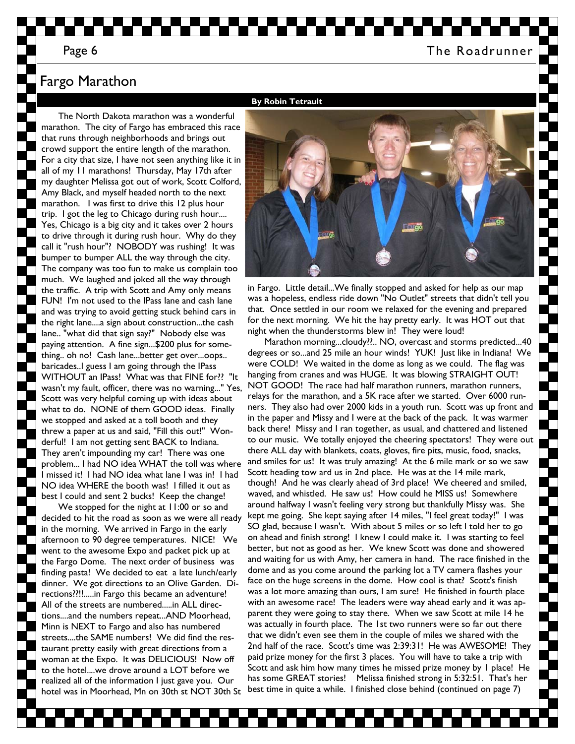### Page 6 The Roadrunner

# Fargo Marathon

The North Dakota marathon was a wonderful marathon. The city of Fargo has embraced this race that runs through neighborhoods and brings out crowd support the entire length of the marathon. For a city that size, I have not seen anything like it in all of my 11 marathons! Thursday, May 17th after my daughter Melissa got out of work, Scott Colford, Amy Black, and myself headed north to the next marathon. I was first to drive this 12 plus hour trip. I got the leg to Chicago during rush hour.... Yes, Chicago is a big city and it takes over 2 hours to drive through it during rush hour. Why do they call it "rush hour"? NOBODY was rushing! It was bumper to bumper ALL the way through the city. The company was too fun to make us complain too much. We laughed and joked all the way through the traffic. A trip with Scott and Amy only means FUN! I'm not used to the IPass lane and cash lane and was trying to avoid getting stuck behind cars in the right lane....a sign about construction...the cash lane.. "what did that sign say?" Nobody else was paying attention. A fine sign...\$200 plus for something.. oh no! Cash lane...better get over...oops.. baricades..I guess I am going through the IPass WITHOUT an IPass! What was that FINE for?? "It wasn't my fault, officer, there was no warning..." Yes, Scott was very helpful coming up with ideas about what to do. NONE of them GOOD ideas. Finally we stopped and asked at a toll booth and they threw a paper at us and said, "Fill this out!" Wonderful! I am not getting sent BACK to Indiana. They aren't impounding my car! There was one problem... I had NO idea WHAT the toll was where I missed it! I had NO idea what lane I was in! I had NO idea WHERE the booth was! I filled it out as best I could and sent 2 bucks! Keep the change!

We stopped for the night at 11:00 or so and decided to hit the road as soon as we were all ready in the morning. We arrived in Fargo in the early afternoon to 90 degree temperatures. NICE! We went to the awesome Expo and packet pick up at the Fargo Dome. The next order of business was finding pasta! We decided to eat a late lunch/early dinner. We got directions to an Olive Garden. Directions??!!.....in Fargo this became an adventure! All of the streets are numbered.....in ALL directions....and the numbers repeat...AND Moorhead, Minn is NEXT to Fargo and also has numbered streets....the SAME numbers! We did find the restaurant pretty easily with great directions from a woman at the Expo. It was DELICIOUS! Now off to the hotel....we drove around a LOT before we realized all of the information I just gave you. Our hotel was in Moorhead, Mn on 30th st NOT 30th St



in Fargo. Little detail...We finally stopped and asked for help as our map was a hopeless, endless ride down "No Outlet" streets that didn't tell you that. Once settled in our room we relaxed for the evening and prepared for the next morning. We hit the hay pretty early. It was HOT out that night when the thunderstorms blew in! They were loud!

Marathon morning...cloudy??.. NO, overcast and storms predicted...40 degrees or so...and 25 mile an hour winds! YUK! Just like in Indiana! We were COLD! We waited in the dome as long as we could. The flag was hanging from cranes and was HUGE. It was blowing STRAIGHT OUT! NOT GOOD! The race had half marathon runners, marathon runners, relays for the marathon, and a 5K race after we started. Over 6000 runners. They also had over 2000 kids in a youth run. Scott was up front and in the paper and Missy and I were at the back of the pack. It was warmer back there! Missy and I ran together, as usual, and chattered and listened to our music. We totally enjoyed the cheering spectators! They were out there ALL day with blankets, coats, gloves, fire pits, music, food, snacks, and smiles for us! It was truly amazing! At the 6 mile mark or so we saw Scott heading tow ard us in 2nd place. He was at the 14 mile mark, though! And he was clearly ahead of 3rd place! We cheered and smiled, waved, and whistled. He saw us! How could he MISS us! Somewhere around halfway I wasn't feeling very strong but thankfully Missy was. She kept me going. She kept saying after 14 miles, "I feel great today!" I was SO glad, because I wasn't. With about 5 miles or so left I told her to go on ahead and finish strong! I knew I could make it. I was starting to feel better, but not as good as her. We knew Scott was done and showered and waiting for us with Amy, her camera in hand. The race finished in the dome and as you come around the parking lot a TV camera flashes your face on the huge screens in the dome. How cool is that? Scott's finish was a lot more amazing than ours, I am sure! He finished in fourth place with an awesome race! The leaders were way ahead early and it was apparent they were going to stay there. When we saw Scott at mile 14 he was actually in fourth place. The 1st two runners were so far out there that we didn't even see them in the couple of miles we shared with the 2nd half of the race. Scott's time was 2:39:31! He was AWESOME! They paid prize money for the first 3 places. You will have to take a trip with Scott and ask him how many times he missed prize money by 1 place! He has some GREAT stories! Melissa finished strong in 5:32:51. That's her best time in quite a while. I finished close behind (continued on page 7)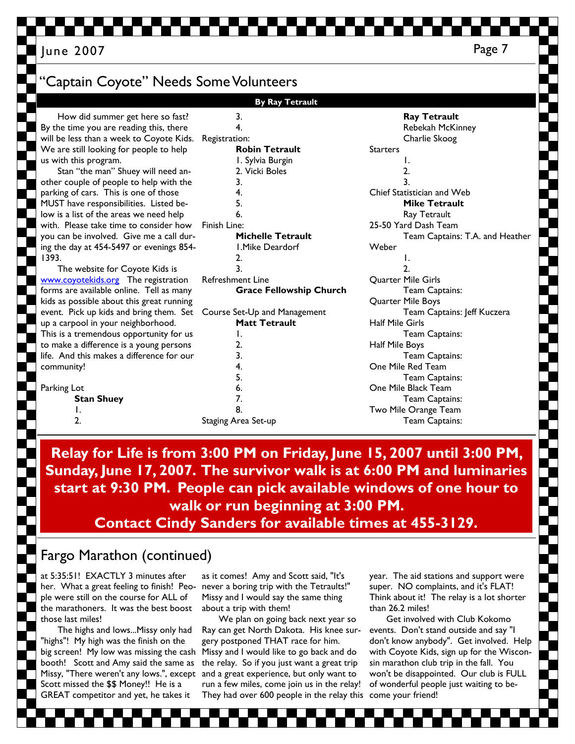Page 7 June 2007

 1. 2.

How did summer get here so fast? By the time you are reading this, there will be less than a week to Coyote Kids. We are still looking for people to help

us with this program. Stan "the man" Shuey will need another couple of people to help with the parking of cars. This is one of those MUST have responsibilities. Listed below is a list of the areas we need help with. Please take time to consider how you can be involved. Give me a call during the day at 454-5497 or evenings 854- 1393. The website for Coyote Kids is www.coyotekids.org The registration forms are available online. Tell as many kids as possible about this great running event. Pick up kids and bring them. Set Course Set-Up and Management up a carpool in your neighborhood. This is a tremendous opportunity for us to make a difference is a young persons life. And this makes a difference for our community! Parking Lot **Stan Shuey**  1. Sylvia Burgin 2. Vicki Boles 3. 4. 5. 6. Finish Line: **Michelle Tetrault**  1.Mike Deardorf 2. 3. Refreshment Line **Grace Fellowship Church Matt Tetrault**  1. 2. 3. 4. 5. 6. 7.

# 'Captain Coyote" Needs Some Volunteers

 3. 4. Registration:

 8. Staging Area Set-up

**Robin Tetrault** 

**By Ray Tetrault** 

### **Ray Tetrault**  Rebekah McKinney Charlie Skoog **Starters**  1. 2. 3. Chief Statistician and Web **Mike Tetrault**  Ray Tetrault 25-50 Yard Dash Team Team Captains: T.A. and Heather Weber 1. 2. Quarter Mile Girls Team Captains: Quarter Mile Boys Team Captains: Jeff Kuczera Half Mile Girls Team Captains: Half Mile Boys Team Captains: One Mile Red Team Team Captains: One Mile Black Team Team Captains: Two Mile Orange Team Team Captains:

**Relay for Life is from 3:00 PM on Friday, June 15, 2007 until 3:00 PM, Sunday, June 17, 2007. The survivor walk is at 6:00 PM and luminaries start at 9:30 PM. People can pick available windows of one hour to walk or run beginning at 3:00 PM. Contact Cindy Sanders for available times at 455-3129.** 

# Fargo Marathon (continued)

at 5:35:51! EXACTLY 3 minutes after her. What a great feeling to finish! People were still on the course for ALL of the marathoners. It was the best boost those last miles!

The highs and lows...Missy only had "highs"! My high was the finish on the big screen! My low was missing the cash booth! Scott and Amy said the same as Missy, "There weren't any lows.", except Scott missed the \$\$ Money!! He is a GREAT competitor and yet, he takes it

as it comes! Amy and Scott said, "It's never a boring trip with the Tetraults!" Missy and I would say the same thing about a trip with them!

They had over 600 people in the relay this come your friend! We plan on going back next year so Ray can get North Dakota. His knee surgery postponed THAT race for him. Missy and I would like to go back and do the relay. So if you just want a great trip and a great experience, but only want to run a few miles, come join us in the relay!

year. The aid stations and support were super. NO complaints, and it's FLAT! Think about it! The relay is a lot shorter than 26.2 miles!

Get involved with Club Kokomo events. Don't stand outside and say "I don't know anybody". Get involved. Help with Coyote Kids, sign up for the Wisconsin marathon club trip in the fall. You won't be disappointed. Our club is FULL of wonderful people just waiting to be-

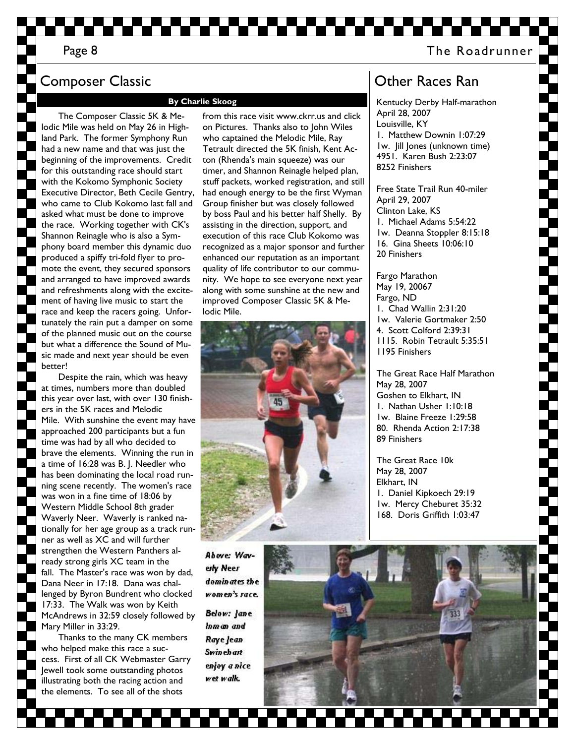## Page 8 and 2012 12:00 The Roadrunner

# Composer Classic

#### **By Charlie Skoog**

The Composer Classic 5K & Melodic Mile was held on May 26 in Highland Park. The former Symphony Run had a new name and that was just the beginning of the improvements. Credit for this outstanding race should start with the Kokomo Symphonic Society Executive Director, Beth Cecile Gentry, who came to Club Kokomo last fall and asked what must be done to improve the race. Working together with CK's Shannon Reinagle who is also a Symphony board member this dynamic duo produced a spiffy tri-fold flyer to promote the event, they secured sponsors and arranged to have improved awards and refreshments along with the excitement of having live music to start the race and keep the racers going. Unfortunately the rain put a damper on some of the planned music out on the course but what a difference the Sound of Music made and next year should be even better!

Despite the rain, which was heavy at times, numbers more than doubled this year over last, with over 130 finishers in the 5K races and Melodic Mile. With sunshine the event may have approached 200 participants but a fun time was had by all who decided to brave the elements. Winning the run in a time of 16:28 was B. J. Needler who has been dominating the local road running scene recently. The women's race was won in a fine time of 18:06 by Western Middle School 8th grader Waverly Neer. Waverly is ranked nationally for her age group as a track runner as well as XC and will further strengthen the Western Panthers already strong girls XC team in the fall. The Master's race was won by dad, Dana Neer in 17:18. Dana was challenged by Byron Bundrent who clocked 17:33. The Walk was won by Keith McAndrews in 32:59 closely followed by Mary Miller in 33:29.

Thanks to the many CK members who helped make this race a success. First of all CK Webmaster Garry Jewell took some outstanding photos illustrating both the racing action and the elements. To see all of the shots

from this race visit www.ckrr.us and click on Pictures. Thanks also to John Wiles who captained the Melodic Mile, Ray Tetrault directed the 5K finish, Kent Acton (Rhenda's main squeeze) was our timer, and Shannon Reinagle helped plan, stuff packets, worked registration, and still had enough energy to be the first Wyman Group finisher but was closely followed by boss Paul and his better half Shelly. By assisting in the direction, support, and execution of this race Club Kokomo was recognized as a major sponsor and further enhanced our reputation as an important quality of life contributor to our community. We hope to see everyone next year along with some sunshine at the new and improved Composer Classic 5K & Melodic Mile.



Above: Waverly Neer dominates the women's race.

**Below: Jane** Inman and Raye Jean **Swinehart** enjoy a nice wet walk.



# Other Races Ran

Kentucky Derby Half-marathon April 28, 2007 Louisville, KY 1. Matthew Downin 1:07:29 1w. Jill Jones (unknown time) 4951. Karen Bush 2:23:07 8252 Finishers

Free State Trail Run 40-miler April 29, 2007 Clinton Lake, KS 1. Michael Adams 5:54:22 1w. Deanna Stoppler 8:15:18 16. Gina Sheets 10:06:10 20 Finishers

Fargo Marathon May 19, 20067 Fargo, ND 1. Chad Wallin 2:31:20 1w. Valerie Gortmaker 2:50 4. Scott Colford 2:39:31 1115. Robin Tetrault 5:35:51 1195 Finishers

The Great Race Half Marathon May 28, 2007 Goshen to Elkhart, IN 1. Nathan Usher 1:10:18 1w. Blaine Freeze 1:29:58 80. Rhenda Action 2:17:38 89 Finishers

The Great Race 10k May 28, 2007 Elkhart, IN 1. Daniel Kipkoech 29:19 1w. Mercy Cheburet 35:32 168. Doris Griffith 1:03:47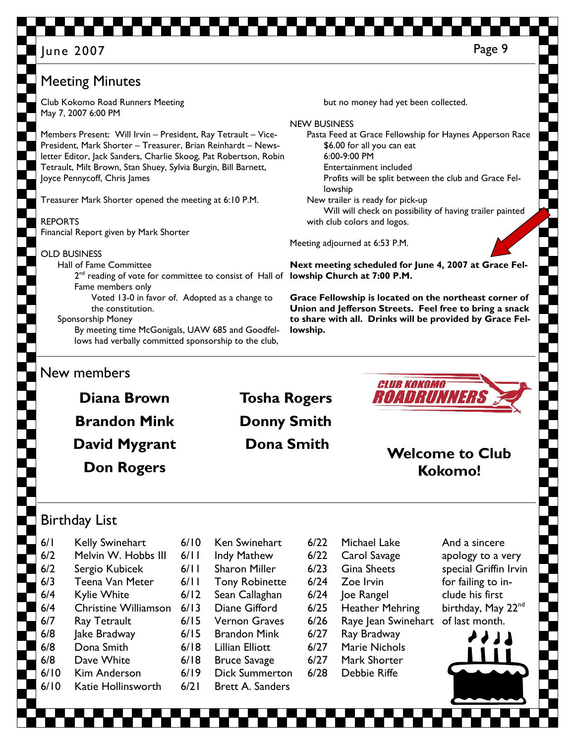# Meeting Minutes

Club Kokomo Road Runners Meeting May 7, 2007 6:00 PM

Members Present: Will Irvin – President, Ray Tetrault – Vice-President, Mark Shorter – Treasurer, Brian Reinhardt – Newsletter Editor, Jack Sanders, Charlie Skoog, Pat Robertson, Robin Tetrault, Milt Brown, Stan Shuey, Sylvia Burgin, Bill Barnett, Joyce Pennycoff, Chris James

Treasurer Mark Shorter opened the meeting at 6:10 P.M.

REPORTS Financial Report given by Mark Shorter

OLD BUSINESS

 Hall of Fame Committee 2<sup>nd</sup> reading of vote for committee to consist of Hall of lowship Church at 7:00 P.M. Fame members only Voted 13-0 in favor of. Adopted as a change to the constitution. Sponsorship Money By meeting time McGonigals, UAW 685 and Goodfel-

lows had verbally committed sponsorship to the club,

New members

**Diana Brown Brandon Mink David Mygrant Don Rogers** 

**Tosha Rogers Donny Smith** 

**lowship.** 



**Dona Smith Welcome to Club Kokomo!** 

# Birthday List

6/1 Kelly Swinehart 6/2 Melvin W. Hobbs III 6/2 Sergio Kubicek 6/3 Teena Van Meter 6/4 Kylie White 6/4 Christine Williamson 6/7 Ray Tetrault 6/8 Jake Bradway 6/8 Dona Smith 6/8 Dave White 6/10 Kim Anderson

6/10 Katie Hollinsworth

- 6/10 Ken Swinehart 6/11 Indy Mathew 6/11 Sharon Miller 6/11 Tony Robinette 6/12 Sean Callaghan 6/13 Diane Gifford 6/15 Vernon Graves 6/15 Brandon Mink 6/18 Lillian Elliott 6/18 Bruce Savage 6/19 Dick Summerton
	-
- 6/21 Brett A. Sanders
- 6/22 Carol Savage 6/23 Gina Sheets 6/24 Zoe Irvin 6/24 Joe Rangel 6/25 Heather Mehring 6/26 Raye Jean Swinehart 6/27 Ray Bradway 6/27 Marie Nichols
- 6/27 Mark Shorter

6/22 Michael Lake

- 6/28 Debbie Riffe
- And a sincere apology to a very special Griffin Irvin for failing to include his first birthday, May 22<sup>nd</sup> of last month.



but no money had yet been collected.

\$6.00 for all you can eat

Entertainment included

New trailer is ready for pick-up

with club colors and logos.

Meeting adjourned at 6:53 P.M.

6:00-9:00 PM

lowship

Pasta Feed at Grace Fellowship for Haynes Apperson Race

Profits will be split between the club and Grace Fel-

Will will check on possibility of having trailer painted

**Next meeting scheduled for June 4, 2007 at Grace Fel-**

**Grace Fellowship is located on the northeast corner of Union and Jefferson Streets. Feel free to bring a snack to share with all. Drinks will be provided by Grace Fel-**

NEW BUSINESS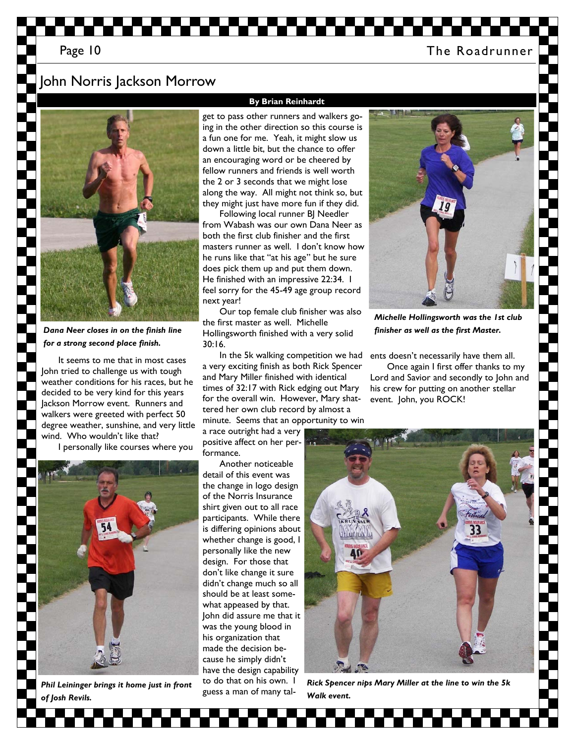## John Norris Jackson Morrow



*Dana Neer closes in on the finish line for a strong second place finish.* 

It seems to me that in most cases John tried to challenge us with tough weather conditions for his races, but he decided to be very kind for this years Jackson Morrow event. Runners and walkers were greeted with perfect 50 degree weather, sunshine, and very little wind. Who wouldn't like that?

I personally like courses where you



*Phil Leininger brings it home just in front of Josh Revils.* 

#### **By Brian Reinhardt**

get to pass other runners and walkers going in the other direction so this course is a fun one for me. Yeah, it might slow us down a little bit, but the chance to offer an encouraging word or be cheered by fellow runners and friends is well worth the 2 or 3 seconds that we might lose along the way. All might not think so, but they might just have more fun if they did.

Following local runner BJ Needler from Wabash was our own Dana Neer as both the first club finisher and the first masters runner as well. I don't know how he runs like that "at his age" but he sure does pick them up and put them down. He finished with an impressive 22:34. I feel sorry for the 45-49 age group record next year!

Our top female club finisher was also the first master as well. Michelle Hollingsworth finished with a very solid 30:16.

In the 5k walking competition we had a very exciting finish as both Rick Spencer and Mary Miller finished with identical times of 32:17 with Rick edging out Mary for the overall win. However, Mary shattered her own club record by almost a minute. Seems that an opportunity to win

a race outright had a very positive affect on her performance.

Another noticeable detail of this event was the change in logo design of the Norris Insurance shirt given out to all race participants. While there is differing opinions about whether change is good, I personally like the new design. For those that don't like change it sure didn't change much so all should be at least somewhat appeased by that. John did assure me that it was the young blood in his organization that made the decision because he simply didn't have the design capability to do that on his own. I guess a man of many tal-



*Michelle Hollingsworth was the 1st club finisher as well as the first Master.* 

ents doesn't necessarily have them all.

Once again I first offer thanks to my Lord and Savior and secondly to John and his crew for putting on another stellar event. John, you ROCK!



*Rick Spencer nips Mary Miller at the line to win the 5k Walk event.*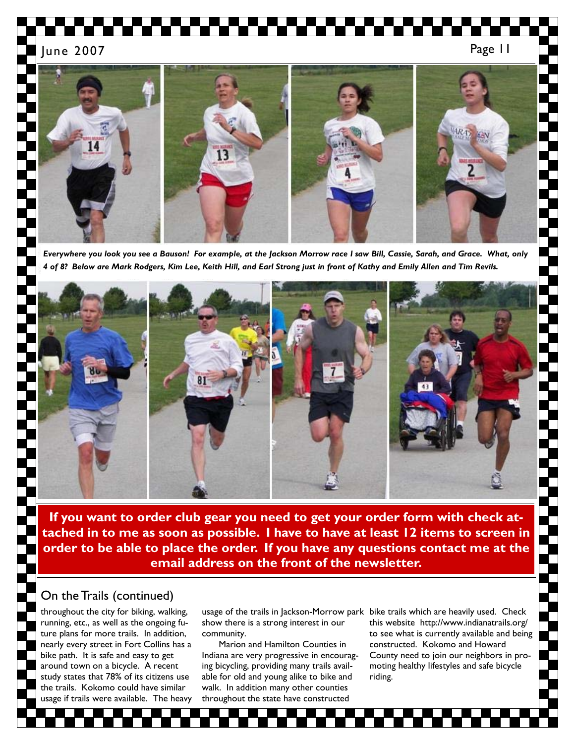

*Everywhere you look you see a Bauson! For example, at the Jackson Morrow race I saw Bill, Cassie, Sarah, and Grace. What, only 4 of 8? Below are Mark Rodgers, Kim Lee, Keith Hill, and Earl Strong just in front of Kathy and Emily Allen and Tim Revils.* 



**If you want to order club gear you need to get your order form with check attached in to me as soon as possible. I have to have at least 12 items to screen in order to be able to place the order. If you have any questions contact me at the email address on the front of the newsletter.** 

### On the Trails (continued)

throughout the city for biking, walking, running, etc., as well as the ongoing future plans for more trails. In addition, nearly every street in Fort Collins has a bike path. It is safe and easy to get around town on a bicycle. A recent study states that 78% of its citizens use the trails. Kokomo could have similar usage if trails were available. The heavy

usage of the trails in Jackson-Morrow park bike trails which are heavily used. Check show there is a strong interest in our community.

Marion and Hamilton Counties in Indiana are very progressive in encouraging bicycling, providing many trails available for old and young alike to bike and walk. In addition many other counties throughout the state have constructed

this website http://www.indianatrails.org/ to see what is currently available and being constructed. Kokomo and Howard County need to join our neighbors in promoting healthy lifestyles and safe bicycle riding.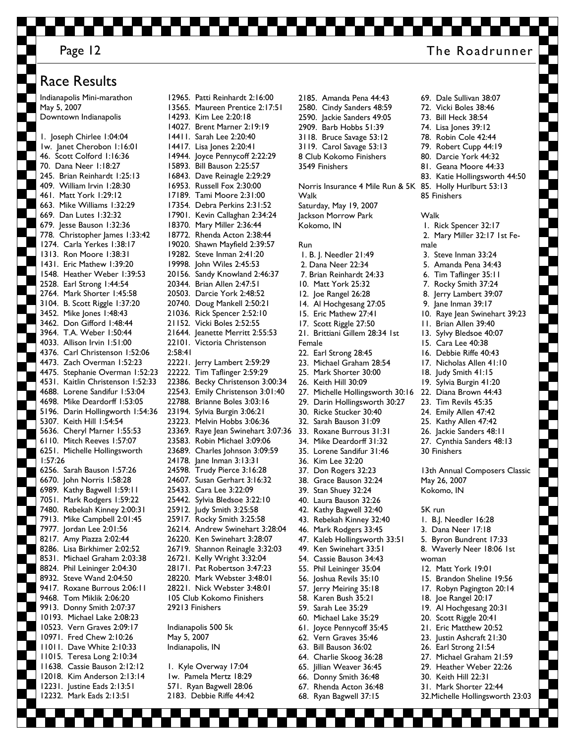### Race Results

Indianapolis Mini-marathon May 5, 2007 Downtown Indianapolis

1. Joseph Chirlee 1:04:04 1w. Janet Cherobon 1:16:01 46. Scott Colford 1:16:36 70. Dana Neer 1:18:27 245. Brian Reinhardt 1:25:13 409. William Irvin 1:28:30 461. Matt York 1:29:12 663. Mike Williams 1:32:29 669. Dan Lutes 1:32:32 679. Jesse Bauson 1:32:36 778. Christopher James 1:33:42 1274. Carla Yerkes 1:38:17 1313. Ron Moore 1:38:31 1431. Eric Mathew 1:39:20 1548. Heather Weber 1:39:53 2528. Earl Strong 1:44:54 2764. Mark Shorter 1:45:58 3104. B. Scott Riggle 1:37:20 3452. Mike Jones 1:48:43 3462. Don Gifford 1:48:44 3964. T.A. Weber 1:50:44 4033. Allison Irvin 1:51:00 4376. Carl Christenson 1:52:06 4473. Zach Overman 1:52:23 4475. Stephanie Overman 1:52:23 4531. Kaitlin Christenson 1:52:33 4688. Lorene Sandifur 1:53:04 4698. Mike Deardorff 1:53:05 5196. Darin Hollingworth 1:54:36 5307. Keith Hill 1:54:54 5636. Cheryl Marner 1:55:53 6110. Mitch Reeves 1:57:07 6251. Michelle Hollingsworth 1:57:26 6256. Sarah Bauson 1:57:26 6670. John Norris 1:58:28 6989. Kathy Bagwell 1:59:11 7051. Mark Rodgers 1:59:22 7480. Rebekah Kinney 2:00:31 7913. Mike Campbell 2:01:45 7977. Jordan Lee 2:01:56 8217. Amy Piazza 2:02:44 8286. Lisa Birkhimer 2:02:52 8531. Michael Graham 2:03:38 8824. Phil Leininger 2:04:30 8932. Steve Wand 2:04:50 9417. Roxane Burrous 2:06:11 9468. Tom Miklik 2:06:20 9913. Donny Smith 2:07:37 10193. Michael Lake 2:08:23 10523. Vern Graves 2:09:17 10971. Fred Chew 2:10:26 11011. Dave White 2:10:33 11015. Teresa Long 2:10:34 11638. Cassie Bauson 2:12:12 12018. Kim Anderson 2:13:14 12231. Justine Eads 2:13:51 12232. Mark Eads 2:13:51

12965. Patti Reinhardt 2:16:00 13565. Maureen Prentice 2:17:51 14293. Kim Lee 2:20:18 14027. Brent Marner 2:19:19 14411. Sarah Lee 2:20:40 14417. Lisa Jones 2:20:41 14944. Joyce Pennycoff 2:22:29 15893. Bill Bauson 2:25:57 16843. Dave Reinagle 2:29:29 16953. Russell Fox 2:30:00 17189. Tami Moore 2:31:00 17354. Debra Perkins 2:31:52 17901. Kevin Callaghan 2:34:24 18370. Mary Miller 2:36:44 18772. Rhenda Acton 2:38:44 19020. Shawn Mayfield 2:39:57 19282. Steve Inman 2:41:20 19998. John Wiles 2:45:53 20156. Sandy Knowland 2:46:37 20344. Brian Allen 2:47:51 20503. Darcie York 2:48:52 20740. Doug Mankell 2:50:21 21036. Rick Spencer 2:52:10 21152. Vicki Boles 2:52:55 21644. Jeanette Merritt 2:55:53 22101. Victoria Christenson 2:58:41 22221. Jerry Lambert 2:59:29 22222. Tim Taflinger 2:59:29 22386. Becky Christenson 3:00:34 22543. Emily Christenson 3:01:40 22788. Brianne Boles 3:03:16 23194. Sylvia Burgin 3:06:21 23223. Melvin Hobbs 3:06:36 23369. Raye Jean Swinehart 3:07:36 23583. Robin Michael 3:09:06 23689. Charles Johnson 3:09:59 24178. Jane Inman 3:13:31 24598. Trudy Pierce 3:16:28 24607. Susan Gerhart 3:16:32 25433. Cara Lee 3:22:09 25442. Sylvia Bledsoe 3:22:10 25912. Judy Smith 3:25:58 25917. Rocky Smith 3:25:58 26214. Andrew Swinehart 3:28:04 26220. Ken Swinehart 3:28:07 26719. Shannon Reinagle 3:32:03 26721. Kelly Wright 3:32:04 28171. Pat Robertson 3:47:23 28220. Mark Webster 3:48:01 28221. Nick Webster 3:48:01 105 Club Kokomo Finishers 29213 Finishers Indianapolis 500 5k May 5, 2007 Indianapolis, IN 1. Kyle Overway 17:04 1w. Pamela Mertz 18:29

571. Ryan Bagwell 28:06 2183. Debbie Riffe 44:42 2185. Amanda Pena 44:43 2580. Cindy Sanders 48:59 2590. Jackie Sanders 49:05 2909. Barb Hobbs 51:39 3118. Bruce Savage 53:12 3119. Carol Savage 53:13 8 Club Kokomo Finishers 3549 Finishers

Norris Insurance 4 Mile Run & 5K Walk Saturday, May 19, 2007 Jackson Morrow Park Kokomo, IN

#### Run

 1. B. J. Needler 21:49 2. Dana Neer 22:34 7. Brian Reinhardt 24:33 10. Matt York 25:32 12. Joe Rangel 26:28 14. Al Hochgesang 27:05 15. Eric Mathew 27:41 17. Scott Riggle 27:50 21. Brittiani Gillem 28:34 1st Female 22. Earl Strong 28:45 23. Michael Graham 28:54 25. Mark Shorter 30:00 26. Keith Hill 30:09 27. Michelle Hollingsworth 30:16 29. Darin Hollingsworth 30:27 30. Ricke Stucker 30:40 32. Sarah Bauson 31:09 33. Roxane Burrous 31:31 34. Mike Deardorff 31:32 35. Lorene Sandifur 31:46 36. Kim Lee 32:20 37. Don Rogers 32:23 38. Grace Bauson 32:24 39. Stan Shuey 32:24 40. Laura Bauson 32:26 42. Kathy Bagwell 32:40 43. Rebekah Kinney 32:40 46. Mark Rodgers 33:45 47. Kaleb Hollingsworth 33:51 49. Ken Swinehart 33:51 54. Cassie Bauson 34:43 55. Phil Leininger 35:04 56. Joshua Revils 35:10 57. Jerry Meiring 35:18 58. Karen Bush 35:21 59. Sarah Lee 35:29 60. Michael Lake 35:29 61. Joyce Pennycoff 35:45 62. Vern Graves 35:46 63. Bill Bauson 36:02 64. Charlie Skoog 36:28 65. Jillian Weaver 36:45 66. Donny Smith 36:48

- 67. Rhenda Acton 36:48
- 68. Ryan Bagwell 37:15
- 69. Dale Sullivan 38:07 72. Vicki Boles 38:46 73. Bill Heck 38:54 74. Lisa Jones 39:12 78. Robin Cole 42:44 79. Robert Cupp 44:19 80. Darcie York 44:32 81. Geana Moore 44:33 83. Katie Hollingsworth 44:50 85. Holly Hurlburt 53:13 85 Finishers Walk 1. Rick Spencer 32:17 2. Mary Miller 32:17 1st Female 3. Steve Inman 33:24 5. Amanda Pena 34:43 6. Tim Taflinger 35:11 7. Rocky Smith 37:24 8. Jerry Lambert 39:07 9. Jane Inman 39:17 10. Raye Jean Swinehart 39:23 11. Brian Allen 39:40 13. Sylvy Bledsoe 40:07 15. Cara Lee 40:38 16. Debbie Riffe 40:43 17. Nicholas Allen 41:10 18. Judy Smith 41:15 19. Sylvia Burgin 41:20 22. Diana Brown 44:43 23. Tim Revils 45:35 24. Emily Allen 47:42 25. Kathy Allen 47:42 26. Jackie Sanders 48:11 27. Cynthia Sanders 48:13 30 Finishers 13th Annual Composers Classic May 26, 2007 Kokomo, IN 5K run 1. B.J. Needler 16:28 3. Dana Neer 17:18 5. Byron Bundrent 17:33 8. Waverly Neer 18:06 1st woman 12. Matt York 19:01 15. Brandon Sheline 19:56 17. Robyn Pagington 20:14
- 18. Joe Rangel 20:17
- 19. Al Hochgesang 20:31
- 20. Scott Riggle 20:41
- 21. Eric Matthew 20:52
- 23. Justin Ashcraft 21:30
- 26. Earl Strong 21:54
- 27. Michael Graham 21:59
- 29. Heather Weber 22:26
- 30. Keith Hill 22:31
	- 31. Mark Shorter 22:44
	- 32.Michelle Hollingsworth 23:03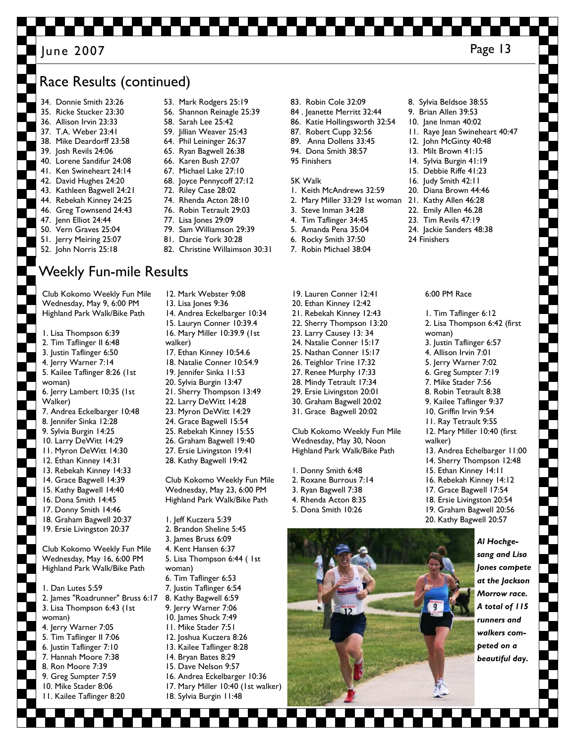### Page 13 June 2007

## Race Results (continued)

- 34. Donnie Smith 23:26 35. Ricke Stucker 23:30 36. Allison Irvin 23:33 37. T.A. Weber 23:41 38. Mike Deardorff 23:58 39. Josh Revils 24:06 40. Lorene Sandifur 24:08 41. Ken Swineheart 24:14 42. David Hughes 24:20 43. Kathleen Bagwell 24:21 44. Rebekah Kinney 24:25 46. Greg Townsend 24:43 47. Jenn Elliot 24:44 50. Vern Graves 25:04 51. Jerry Meiring 25:07 52. John Norris 25:18
- 53. Mark Rodgers 25:19
- 56. Shannon Reinagle 25:39
- 58. Sarah Lee 25:42
- 59. Iillian Weaver 25:43
- 64. Phil Leininger 26:37
- 65. Ryan Bagwell 26:38
- 66. Karen Bush 27:07
- 67. Michael Lake 27:10 68. Joyce Pennycoff 27:12
- 72. Riley Case 28:02
- 74. Rhenda Acton 28:10
- 76. Robin Tetrault 29:03
- 77. Lisa Jones 29:09
- 79. Sam Williamson 29:39
- 81. Darcie York 30:28
- 82. Christine Willaimson 30:31
- Weekly Fun-mile Results

Club Kokomo Weekly Fun Mile Wednesday, May 9, 6:00 PM Highland Park Walk/Bike Path

- 1. Lisa Thompson 6:39 2. Tim Taflinger II 6:48 3. Justin Taflinger 6:50 4. Jerry Warner 7:14 5. Kailee Taflinger 8:26 (1st woman) 6. Jerry Lambert 10:35 (1st Walker) 7. Andrea Eckelbarger 10:48 8. Jennifer Sinka 12:28 9. Sylvia Burgin 14:25 10. Larry DeWitt 14:29 11. Myron DeWitt 14:30 12. Ethan Kinney 14:31 13. Rebekah Kinney 14:33 14. Grace Bagwell 14:39 15. Kathy Bagwell 14:40 16. Dona Smith 14:45 17. Donny Smith 14:46 18. Graham Bagwell 20:37 19. Ersie Livingston 20:37 Club Kokomo Weekly Fun Mile Wednesday, May 16, 6:00 PM Highland Park Walk/Bike Path 1. Dan Lutes 5:59 2. James "Roadrunner" Bruss 6:17 3. Lisa Thompson 6:43 (1st
- woman) 4. Jerry Warner 7:05 5. Tim Taflinger II 7:06 6. Justin Taflinger 7:10 7. Hannah Moore 7:38 8. Ron Moore 7:39
- 9. Greg Sumpter 7:59
- 10. Mike Stader 8:06 11. Kailee Taflinger 8:20
- 12. Mark Webster 9:08
- 13. Lisa Jones 9:36 14. Andrea Eckelbarger 10:34
- 15. Lauryn Conner 10:39.4 16. Mary Miller 10:39.9 (1st
- walker)
- 17. Ethan Kinney 10:54.6
- 18. Natalie Conner 10:54.9
- 19. Jennifer Sinka 11:53
- 20. Sylvia Burgin 13:47
- 21. Sherry Thompson 13:49
- 22. Larry DeWitt 14:28
- 23. Myron DeWitt 14:29 24. Grace Bagwell 15:54
- 25. Rebekah Kinney 15:55
- 26. Graham Bagwell 19:40
- 27. Ersie Livingston 19:41
- 28. Kathy Bagwell 19:42

Club Kokomo Weekly Fun Mile Wednesday, May 23, 6:00 PM Highland Park Walk/Bike Path

- 1. Jeff Kuczera 5:39
- 2. Brandon Sheline 5:45
- 3. James Bruss 6:09
- 4. Kent Hansen 6:37
- 5. Lisa Thompson 6:44 ( 1st
- woman) 6. Tim Taflinger 6:53
- 7. Justin Taflinger 6:54
- 8. Kathy Bagwell 6:59
- 9. Jerry Warner 7:06
- 10. James Shuck 7:49
- 11. Mike Stader 7:51
- 12. Joshua Kuczera 8:26
- 13. Kailee Taflinger 8:28
- 14. Bryan Bates 8:29
- 15. Dave Nelson 9:57
- 16. Andrea Eckelbarger 10:36
- 17. Mary Miller 10:40 (1st walker)
- 18. Sylvia Burgin 11:48
- 83. Robin Cole 32:09
- 84 . Jeanette Merritt 32:44
- 86. Katie Hollingsworth 32:54
- 87. Robert Cupp 32:56
- 89. Anna Dollens 33:45
- 94. Dona Smith 38:57
- 
- 95 Finishers

#### 5K Walk

- 1. Keith McAndrews 32:59
- 2. Mary Miller 33:29 1st woman 21. Kathy Allen 46:28
- 3. Steve Inman 34:28
- 4. Tim Taflinger 34:45
- 5. Amanda Pena 35:04
- 6. Rocky Smith 37:50
- 7. Robin Michael 38:04
- 19. Lauren Conner 12:41
- 20. Ethan Kinney 12:42 21. Rebekah Kinney 12:43
- 22. Sherry Thompson 13:20
- 23. Larry Causey 13: 34
- 24. Natalie Conner 15:17
- 25. Nathan Conner 15:17
- 26. Teighlor Trine 17:32
- 27. Renee Murphy 17:33
- 28. Mindy Tetrault 17:34
- 29. Ersie Livingston 20:01
- 30. Graham Bagwell 20:02
- 31. Grace Bagwell 20:02

Club Kokomo Weekly Fun Mile Wednesday, May 30, Noon Highland Park Walk/Bike Path

- 1. Donny Smith 6:48
- 2. Roxane Burrous 7:14
- 3. Ryan Bagwell 7:38
- 4. Rhenda Acton 8:35
- 5. Dona Smith 10:26
- 8. Sylvia Beldsoe 38:55 9. Brian Allen 39:53
- 
- 10. Jane Inman 40:02
	- 11. Raye Jean Swineheart 40:47
	- 12. John McGinty 40:48
	- 13. Milt Brown 41:15
	- 14. Sylvia Burgin 41:19
	- 15. Debbie Riffe 41:23 16. Judy Smith 42:11

20. Diana Brown 44:46

22. Emily Allen 46.28 23. Tim Revils 47:19 24. Jackie Sanders 48:38

6:00 PM Race

woman)

walker)

1. Tim Taflinger 6:12 2. Lisa Thompson 6:42 (first

3. Justin Taflinger 6:57 4. Allison Irvin 7:01 5. Jerry Warner 7:02 6. Greg Sumpter 7:19 7. Mike Stader 7:56 8. Robin Tetrault 8:38 9. Kailee Taflinger 9:37 10. Griffin Irvin 9:54 11. Ray Tetrault 9:55 12. Mary Miller 10:40 (first

13. Andrea Echelbarger 11:00 14. Sherry Thompson 12:48 15. Ethan Kinney 14:11 16. Rebekah Kinney 14:12 17. Grace Bagwell 17:54 18. Ersie Livingston 20:54 19. Graham Bagwell 20:56 20. Kathy Bagwell 20:57

> *Al Hochgesang and Lisa Jones compete at the Jackson Morrow race. A total of 115 runners and walkers competed on a beautiful day.*

24 Finishers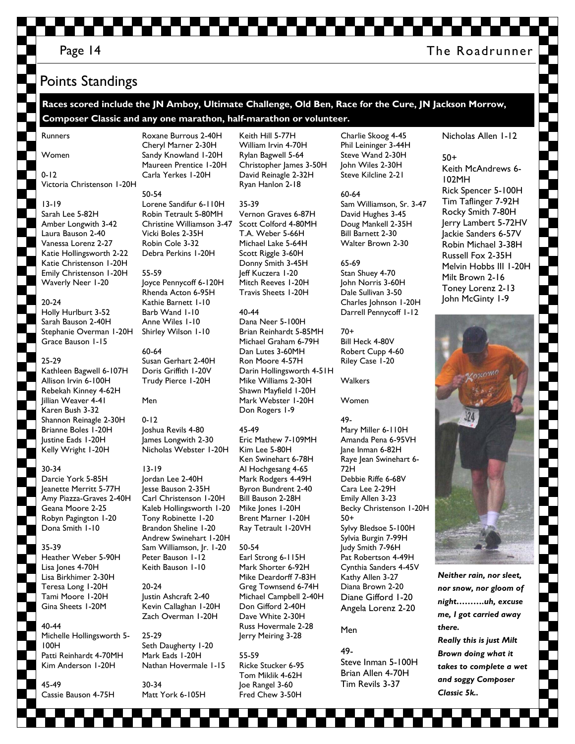### Page 14 The Roadrunner

# Points Standings

**Races scored include the JN Amboy, Ultimate Challenge, Old Ben, Race for the Cure, JN Jackson Morrow, Composer Classic and any one marathon, half-marathon or volunteer.** 

Runners

Women

### 0-12 Victoria Christenson 1-20H

#### 13-19

Sarah Lee 5-82H Amber Longwith 3-42 Laura Bauson 2-40 Vanessa Lorenz 2-27 Katie Hollingsworth 2-22 Katie Christenson 1-20H Emily Christenson 1-20H Waverly Neer 1-20

#### 20-24

Holly Hurlburt 3-52 Sarah Bauson 2-40H Stephanie Overman 1-20H Grace Bauson 1-15

#### 25-29

Kathleen Bagwell 6-107H Allison Irvin 6-100H Rebekah Kinney 4-62H Jillian Weaver 4-41 Karen Bush 3-32 Shannon Reinagle 2-30H Brianne Boles 1-20H Justine Eads 1-20H Kelly Wright 1-20H

### 30-34

Darcie York 5-85H Jeanette Merritt 5-77H Amy Piazza-Graves 2-40H Geana Moore 2-25 Robyn Pagington 1-20 Dona Smith 1-10

#### 35-39

Heather Weber 5-90H Lisa Jones 4-70H Lisa Birkhimer 2-30H Teresa Long 1-20H Tami Moore 1-20H Gina Sheets 1-20M

#### 40-44 Michelle Hollingsworth 5- 100H Patti Reinhardt 4-70MH Kim Anderson 1-20H

45-49 Cassie Bauson 4-75H Carla Yerkes 1-20H 50-54 Lorene Sandifur 6-110H Robin Tetrault 5-80MH Christine Williamson 3-47 Vicki Boles 2-35H Robin Cole 3-32 Debra Perkins 1-20H

Roxane Burrous 2-40H Cheryl Marner 2-30H Sandy Knowland 1-20H Maureen Prentice 1-20H

55-59 Joyce Pennycoff 6-120H Rhenda Acton 6-95H Kathie Barnett 1-10 Barb Wand 1-10 Anne Wiles 1-10 Shirley Wilson 1-10

60-64 Susan Gerhart 2-40H Doris Griffith 1-20V Trudy Pierce 1-20H

#### Men

0-12 Joshua Revils 4-80 James Longwith 2-30 Nicholas Webster 1-20H

#### 13-19

Jordan Lee 2-40H Jesse Bauson 2-35H Carl Christenson 1-20H Kaleb Hollingsworth 1-20 Tony Robinette 1-20 Brandon Sheline 1-20 Andrew Swinehart 1-20H Sam Williamson, Jr. 1-20 Peter Bauson 1-12 Keith Bauson 1-10

20-24 Justin Ashcraft 2-40 Kevin Callaghan 1-20H Zach Overman 1-20H

25-29 Seth Daugherty 1-20 Mark Eads 1-20H Nathan Hovermale 1-15

30-34 Matt York 6-105H

Keith Hill 5-77H William Irvin 4-70H Rylan Bagwell 5-64 Christopher James 3-50H David Reinagle 2-32H Ryan Hanlon 2-18

35-39 Vernon Graves 6-87H Scott Colford 4-80MH T.A. Weber 5-66H Michael Lake 5-64H Scott Riggle 3-60H Donny Smith 3-45H Jeff Kuczera 1-20 Mitch Reeves 1-20H Travis Sheets 1-20H

#### 40-44

Dana Neer 5-100H Brian Reinhardt 5-85MH Michael Graham 6-79H Dan Lutes 3-60MH Ron Moore 4-57H Darin Hollingsworth 4-51H Mike Williams 2-30H Shawn Mayfield 1-20H Mark Webster 1-20H Don Rogers 1-9

#### 45-49

Eric Mathew 7-109MH Kim Lee 5-80H Ken Swinehart 6-78H Al Hochgesang 4-65 Mark Rodgers 4-49H Byron Bundrent 2-40 Bill Bauson 2-28H Mike Jones 1-20H Brent Marner 1-20H Ray Tetrault 1-20VH

50-54 Earl Strong 6-115H Mark Shorter 6-92H Mike Deardorff 7-83H Greg Townsend 6-74H Michael Campbell 2-40H Don Gifford 2-40H Dave White 2-30H Russ Hovermale 2-28 Jerry Meiring 3-28

55-59 Ricke Stucker 6-95 Tom Miklik 4-62H Joe Rangel 3-60 Fred Chew 3-50H

Charlie Skoog 4-45 Phil Leininger 3-44H Steve Wand 2-30H John Wiles 2-30H Steve Kilcline 2-21

60-64 Sam Williamson, Sr. 3-47 David Hughes 3-45 Doug Mankell 2-35H Bill Barnett 2-30 Walter Brown 2-30

#### 65-69 Stan Shuey 4-70 John Norris 3-60H Dale Sullivan 3-50 Charles Johnson 1-20H Darrell Pennycoff 1-12

70+ Bill Heck 4-80V Robert Cupp 4-60 Riley Case 1-20

Walkers

### Women

49- Mary Miller 6-110H Amanda Pena 6-95VH Jane Inman 6-82H Raye Jean Swinehart 6- 72H Debbie Riffe 6-68V Cara Lee 2-29H Emily Allen 3-23 Becky Christenson 1-20H 50+ Sylvy Bledsoe 5-100H Sylvia Burgin 7-99H Judy Smith 7-96H Pat Robertson 4-49H Cynthia Sanders 4-45V Kathy Allen 3-27 Diana Brown 2-20 Diane Gifford 1-20 Angela Lorenz 2-20

### Men

49- Steve Inman 5-100H Brian Allen 4-70H Tim Revils 3-37

### Nicholas Allen 1-12

50+ Keith McAndrews 6- 102MH Rick Spencer 5-100H Tim Taflinger 7-92H Rocky Smith 7-80H Jerry Lambert 5-72HV Jackie Sanders 6-57V Robin Michael 3-38H Russell Fox 2-35H Melvin Hobbs III 1-20H Milt Brown 2-16 Toney Lorenz 2-13 John McGinty 1-9



*Neither rain, nor sleet, nor snow, nor gloom of night……….uh, excuse me, I got carried away there.* 

*Really this is just Milt Brown doing what it takes to complete a wet and soggy Composer Classic 5k..*